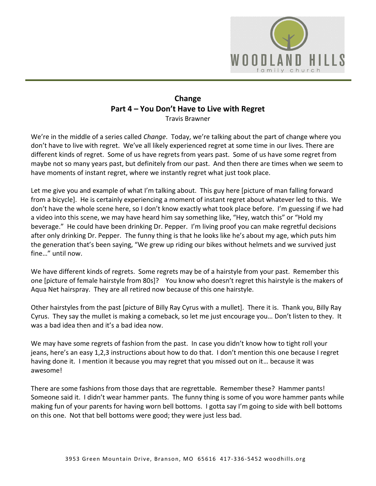

## **Change Part 4 – You Don't Have to Live with Regret** Travis Brawner

We're in the middle of a series called *Change*. Today, we're talking about the part of change where you don't have to live with regret. We've all likely experienced regret at some time in our lives. There are different kinds of regret. Some of us have regrets from years past. Some of us have some regret from maybe not so many years past, but definitely from our past. And then there are times when we seem to have moments of instant regret, where we instantly regret what just took place.

Let me give you and example of what I'm talking about. This guy here [picture of man falling forward from a bicycle]. He is certainly experiencing a moment of instant regret about whatever led to this. We don't have the whole scene here, so I don't know exactly what took place before. I'm guessing if we had a video into this scene, we may have heard him say something like, "Hey, watch this" or "Hold my beverage." He could have been drinking Dr. Pepper. I'm living proof you can make regretful decisions after only drinking Dr. Pepper. The funny thing is that he looks like he's about my age, which puts him the generation that's been saying, "We grew up riding our bikes without helmets and we survived just fine…" until now.

We have different kinds of regrets. Some regrets may be of a hairstyle from your past. Remember this one [picture of female hairstyle from 80s]? You know who doesn't regret this hairstyle is the makers of Aqua Net hairspray. They are all retired now because of this one hairstyle.

Other hairstyles from the past [picture of Billy Ray Cyrus with a mullet]. There it is. Thank you, Billy Ray Cyrus. They say the mullet is making a comeback, so let me just encourage you… Don't listen to they. It was a bad idea then and it's a bad idea now.

We may have some regrets of fashion from the past. In case you didn't know how to tight roll your jeans, here's an easy 1,2,3 instructions about how to do that. I don't mention this one because I regret having done it. I mention it because you may regret that you missed out on it… because it was awesome!

There are some fashions from those days that are regrettable. Remember these? Hammer pants! Someone said it. I didn't wear hammer pants. The funny thing is some of you wore hammer pants while making fun of your parents for having worn bell bottoms. I gotta say I'm going to side with bell bottoms on this one. Not that bell bottoms were good; they were just less bad.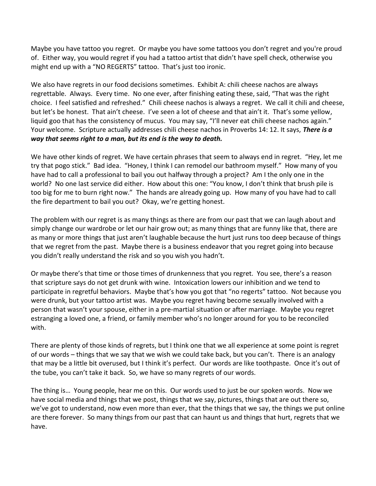Maybe you have tattoo you regret. Or maybe you have some tattoos you don't regret and you're proud of. Either way, you would regret if you had a tattoo artist that didn't have spell check, otherwise you might end up with a "NO REGERTS" tattoo. That's just too ironic.

We also have regrets in our food decisions sometimes. Exhibit A: chili cheese nachos are always regrettable. Always. Every time. No one ever, after finishing eating these, said, "That was the right choice. I feel satisfied and refreshed." Chili cheese nachos is always a regret. We call it chili and cheese, but let's be honest. That ain't cheese. I've seen a lot of cheese and that ain't it. That's some yellow, liquid goo that has the consistency of mucus. You may say, "I'll never eat chili cheese nachos again." Your welcome. Scripture actually addresses chili cheese nachos in Proverbs 14: 12. It says, *There is a way that seems right to a man, but its end is the way to death.*

We have other kinds of regret. We have certain phrases that seem to always end in regret. "Hey, let me try that pogo stick." Bad idea. "Honey, I think I can remodel our bathroom myself." How many of you have had to call a professional to bail you out halfway through a project? Am I the only one in the world? No one last service did either. How about this one: "You know, I don't think that brush pile is too big for me to burn right now." The hands are already going up. How many of you have had to call the fire department to bail you out? Okay, we're getting honest.

The problem with our regret is as many things as there are from our past that we can laugh about and simply change our wardrobe or let our hair grow out; as many things that are funny like that, there are as many or more things that just aren't laughable because the hurt just runs too deep because of things that we regret from the past. Maybe there is a business endeavor that you regret going into because you didn't really understand the risk and so you wish you hadn't.

Or maybe there's that time or those times of drunkenness that you regret. You see, there's a reason that scripture says do not get drunk with wine. Intoxication lowers our inhibition and we tend to participate in regretful behaviors. Maybe that's how you got that "no regerts" tattoo. Not because you were drunk, but your tattoo artist was. Maybe you regret having become sexually involved with a person that wasn't your spouse, either in a pre-martial situation or after marriage. Maybe you regret estranging a loved one, a friend, or family member who's no longer around for you to be reconciled with.

There are plenty of those kinds of regrets, but I think one that we all experience at some point is regret of our words – things that we say that we wish we could take back, but you can't. There is an analogy that may be a little bit overused, but I think it's perfect. Our words are like toothpaste. Once it's out of the tube, you can't take it back. So, we have so many regrets of our words.

The thing is… Young people, hear me on this. Our words used to just be our spoken words. Now we have social media and things that we post, things that we say, pictures, things that are out there so, we've got to understand, now even more than ever, that the things that we say, the things we put online are there forever. So many things from our past that can haunt us and things that hurt, regrets that we have.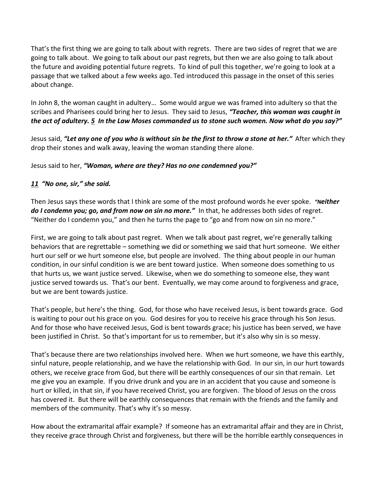That's the first thing we are going to talk about with regrets. There are two sides of regret that we are going to talk about. We going to talk about our past regrets, but then we are also going to talk about the future and avoiding potential future regrets. To kind of pull this together, we're going to look at a passage that we talked about a few weeks ago. Ted introduced this passage in the onset of this series about change.

In John 8, the woman caught in adultery… Some would argue we was framed into adultery so that the scribes and Pharisees could bring her to Jesus. They said to Jesus, *"Teacher, this woman was caught in the act of adultery. [5](https://www.studylight.org/desk/?q=joh%208:5&t1=en_niv&sr=1) In the Law Moses commanded us to stone such women. Now what do you say?"*

Jesus said, *"Let any one of you who is without sin be the first to throw a stone at her."* After which they drop their stones and walk away, leaving the woman standing there alone.

Jesus said to her, *"Woman, where are they? Has no one condemned you?"*

## *[11](https://www.studylight.org/desk/?q=joh%208:11&t1=en_niv&sr=1) "No one, sir," she said.*

Then Jesus says these words that I think are some of the most profound words he ever spoke. *"Neither do I condemn you; go, and from now on sin no more."* In that, he addresses both sides of regret. "Neither do I condemn you," and then he turns the page to "go and from now on sin no more."

First, we are going to talk about past regret. When we talk about past regret, we're generally talking behaviors that are regrettable – something we did or something we said that hurt someone. We either hurt our self or we hurt someone else, but people are involved. The thing about people in our human condition, in our sinful condition is we are bent toward justice. When someone does something to us that hurts us, we want justice served. Likewise, when we do something to someone else, they want justice served towards us. That's our bent. Eventually, we may come around to forgiveness and grace, but we are bent towards justice.

That's people, but here's the thing. God, for those who have received Jesus, is bent towards grace. God is waiting to pour out his grace on you. God desires for you to receive his grace through his Son Jesus. And for those who have received Jesus, God is bent towards grace; his justice has been served, we have been justified in Christ. So that's important for us to remember, but it's also why sin is so messy.

That's because there are two relationships involved here. When we hurt someone, we have this earthly, sinful nature, people relationship, and we have the relationship with God. In our sin, in our hurt towards others, we receive grace from God, but there will be earthly consequences of our sin that remain. Let me give you an example. If you drive drunk and you are in an accident that you cause and someone is hurt or killed, in that sin, if you have received Christ, you are forgiven. The blood of Jesus on the cross has covered it. But there will be earthly consequences that remain with the friends and the family and members of the community. That's why it's so messy.

How about the extramarital affair example? If someone has an extramarital affair and they are in Christ, they receive grace through Christ and forgiveness, but there will be the horrible earthly consequences in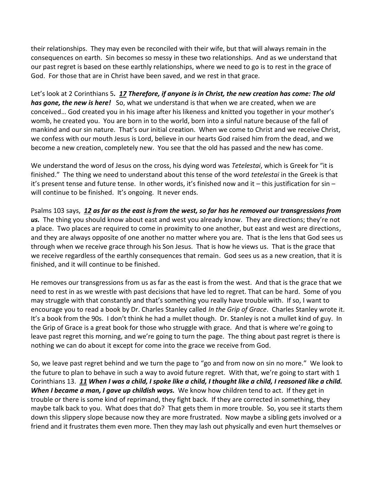their relationships. They may even be reconciled with their wife, but that will always remain in the consequences on earth. Sin becomes so messy in these two relationships. And as we understand that our past regret is based on these earthly relationships, where we need to go is to rest in the grace of God. For those that are in Christ have been saved, and we rest in that grace.

Let's look at 2 Corinthians 5*. [17](https://www.studylight.org/desk/?q=2co%205:17&t1=en_niv&sr=1) Therefore, if anyone is in Christ, the new creation has come: The old has gone, the new is here!* So, what we understand is that when we are created, when we are conceived… God created you in his image after his likeness and knitted you together in your mother's womb, he created you. You are born in to the world, born into a sinful nature because of the fall of mankind and our sin nature. That's our initial creation. When we come to Christ and we receive Christ, we confess with our mouth Jesus is Lord, believe in our hearts God raised him from the dead, and we become a new creation, completely new. You see that the old has passed and the new has come.

We understand the word of Jesus on the cross, his dying word was *Tetelestai*, which is Greek for "it is finished." The thing we need to understand about this tense of the word *tetelestai* in the Greek is that it's present tense and future tense. In other words, it's finished now and it – this justification for sin – will continue to be finished. It's ongoing. It never ends.

Psalms 103 says, *[12](https://www.studylight.org/desk/?q=ps%20103:12&t1=en_niv&sr=1) as far as the east is from the west, so far has he removed our transgressions from us.* The thing you should know about east and west you already know. They are directions; they're not a place. Two places are required to come in proximity to one another, but east and west are directions, and they are always opposite of one another no matter where you are. That is the lens that God sees us through when we receive grace through his Son Jesus. That is how he views us. That is the grace that we receive regardless of the earthly consequences that remain. God sees us as a new creation, that it is finished, and it will continue to be finished.

He removes our transgressions from us as far as the east is from the west. And that is the grace that we need to rest in as we wrestle with past decisions that have led to regret. That can be hard. Some of you may struggle with that constantly and that's something you really have trouble with. If so, I want to encourage you to read a book by Dr. Charles Stanley called *In the Grip of Grace*. Charles Stanley wrote it. It's a book from the 90s. I don't think he had a mullet though. Dr. Stanley is not a mullet kind of guy. In the Grip of Grace is a great book for those who struggle with grace. And that is where we're going to leave past regret this morning, and we're going to turn the page. The thing about past regret is there is nothing we can do about it except for come into the grace we receive from God.

So, we leave past regret behind and we turn the page to "go and from now on sin no more." We look to the future to plan to behave in such a way to avoid future regret. With that, we're going to start with 1 Corinthians 13. *[11](https://www.studylight.org/desk/?q=1co%2013:11&t1=en_esv&sr=1) When I was a child, I spoke like a child, I thought like a child, I reasoned like a child. When I became a man, I gave up childish ways.* We know how children tend to act. If they get in trouble or there is some kind of reprimand, they fight back. If they are corrected in something, they maybe talk back to you. What does that do? That gets them in more trouble. So, you see it starts them down this slippery slope because now they are more frustrated. Now maybe a sibling gets involved or a friend and it frustrates them even more. Then they may lash out physically and even hurt themselves or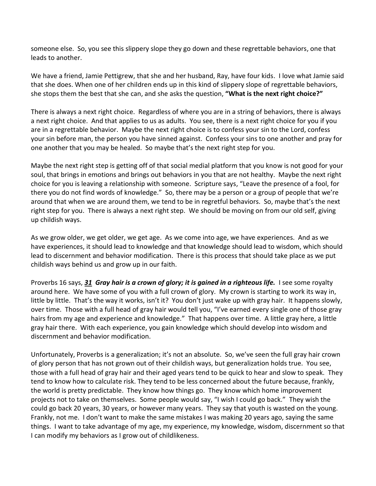someone else. So, you see this slippery slope they go down and these regrettable behaviors, one that leads to another.

We have a friend, Jamie Pettigrew, that she and her husband, Ray, have four kids. I love what Jamie said that she does. When one of her children ends up in this kind of slippery slope of regrettable behaviors, she stops them the best that she can, and she asks the question, **"What is the next right choice?"**

There is always a next right choice. Regardless of where you are in a string of behaviors, there is always a next right choice. And that applies to us as adults. You see, there is a next right choice for you if you are in a regrettable behavior. Maybe the next right choice is to confess your sin to the Lord, confess your sin before man, the person you have sinned against. Confess your sins to one another and pray for one another that you may be healed. So maybe that's the next right step for you.

Maybe the next right step is getting off of that social medial platform that you know is not good for your soul, that brings in emotions and brings out behaviors in you that are not healthy. Maybe the next right choice for you is leaving a relationship with someone. Scripture says, "Leave the presence of a fool, for there you do not find words of knowledge." So, there may be a person or a group of people that we're around that when we are around them, we tend to be in regretful behaviors. So, maybe that's the next right step for you. There is always a next right step. We should be moving on from our old self, giving up childish ways.

As we grow older, we get older, we get age. As we come into age, we have experiences. And as we have experiences, it should lead to knowledge and that knowledge should lead to wisdom, which should lead to discernment and behavior modification. There is this process that should take place as we put childish ways behind us and grow up in our faith.

Proverbs 16 says, *[31](https://www.studylight.org/desk/?q=pr%2016:31&t1=en_esv&sr=1) Gray hair is a crown of glory; it is gained in a righteous life.* I see some royalty around here. We have some of you with a full crown of glory. My crown is starting to work its way in, little by little. That's the way it works, isn't it? You don't just wake up with gray hair. It happens slowly, over time. Those with a full head of gray hair would tell you, "I've earned every single one of those gray hairs from my age and experience and knowledge." That happens over time. A little gray here, a little gray hair there. With each experience, you gain knowledge which should develop into wisdom and discernment and behavior modification.

Unfortunately, Proverbs is a generalization; it's not an absolute. So, we've seen the full gray hair crown of glory person that has not grown out of their childish ways, but generalization holds true. You see, those with a full head of gray hair and their aged years tend to be quick to hear and slow to speak. They tend to know how to calculate risk. They tend to be less concerned about the future because, frankly, the world is pretty predictable. They know how things go. They know which home improvement projects not to take on themselves. Some people would say, "I wish I could go back." They wish the could go back 20 years, 30 years, or however many years. They say that youth is wasted on the young. Frankly, not me. I don't want to make the same mistakes I was making 20 years ago, saying the same things. I want to take advantage of my age, my experience, my knowledge, wisdom, discernment so that I can modify my behaviors as I grow out of childlikeness.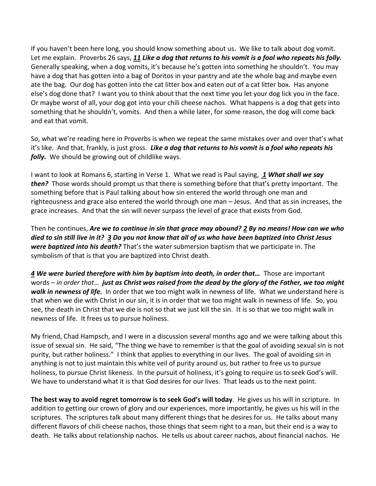If you haven't been here long, you should know something about us. We like to talk about dog vomit. Let me explain. Proverbs 26 says, *[11](https://www.studylight.org/desk/?q=pr%2026:11&t1=en_esv&sr=1) Like a dog that returns to his vomit is a fool who repeats his folly.* Generally speaking, when a dog vomits, it's because he's gotten into something he shouldn't. You may have a dog that has gotten into a bag of Doritos in your pantry and ate the whole bag and maybe even ate the bag. Our dog has gotten into the cat litter box and eaten out of a cat litter box. Has anyone else's dog done that? I want you to think about that the next time you let your dog lick you in the face. Or maybe worst of all, your dog got into your chili cheese nachos. What happens is a dog that gets into something that he shouldn't, vomits. And then a while later, for some reason, the dog will come back and eat that vomit.

So, what we're reading here in Proverbs is when we repeat the same mistakes over and over that's what it's like. And that, frankly, is just gross. *Like a dog that returns to his vomit is a fool who repeats his folly.* We should be growing out of childlike ways.

I want to look at Romans 6, starting in Verse 1. What we read is Paul saying, *[1](https://www.studylight.org/desk/?q=ro%206:1&t1=en_esv&sr=1) What shall we say then?* Those words should prompt us that there is something before that that's pretty important. The something before that is Paul talking about how sin entered the world through one man and righteousness and grace also entered the world through one man – Jesus. And that as sin increases, the grace increases. And that the sin will never surpass the level of grace that exists from God.

Then he continues, *Are we to continue in sin that grace may abound? [2](https://www.studylight.org/desk/?q=ro%206:2&t1=en_esv&sr=1) By no means! How can we who died to sin still live in it? [3](https://www.studylight.org/desk/?q=ro%206:3&t1=en_esv&sr=1) Do you not know that all of us who have been baptized into Christ Jesus were baptized into his death?* That's the water submersion baptism that we participate in. The symbolism of that is that you are baptized into Christ death.

*[4](https://www.studylight.org/desk/?q=ro%206:4&t1=en_esv&sr=1) We were buried therefore with him by baptism into death, in order that…* Those are important words – *in order that*… *just as Christ was raised from the dead by the glory of the Father, we too might walk in newness of life.* In order that we too might walk in newness of life. What we understand here is that when we die with Christ in our sin, it is in order that we too might walk in newness of life. So, you see, the death in Christ that we die is not so that we just kill the sin. It is so that we too might walk in newness of life. It frees us to pursue holiness.

My friend, Chad Hampsch, and I were in a discussion several months ago and we were talking about this issue of sexual sin. He said, "The thing we have to remember is that the goal of avoiding sexual sin is not purity, but rather holiness." I think that applies to everything in our lives. The goal of avoiding sin in anything is not to just maintain this white veil of purity around us, but rather to free us to pursue holiness, to pursue Christ likeness. In the pursuit of holiness, it's going to require us to seek God's will. We have to understand what it is that God desires for our lives. That leads us to the next point.

**The best way to avoid regret tomorrow is to seek God's will today**. He gives us his will in scripture. In addition to getting our crown of glory and our experiences, more importantly, he gives us his will in the scriptures. The scriptures talk about many different things that he desires for us. He talks about many different flavors of chili cheese nachos, those things that seem right to a man, but their end is a way to death. He talks about relationship nachos. He tells us about career nachos, about financial nachos. He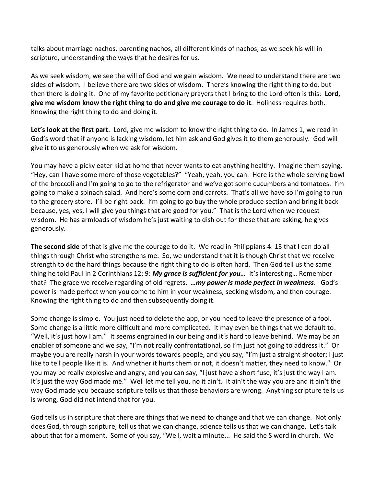talks about marriage nachos, parenting nachos, all different kinds of nachos, as we seek his will in scripture, understanding the ways that he desires for us.

As we seek wisdom, we see the will of God and we gain wisdom. We need to understand there are two sides of wisdom. I believe there are two sides of wisdom. There's knowing the right thing to do, but then there is doing it. One of my favorite petitionary prayers that I bring to the Lord often is this: **Lord, give me wisdom know the right thing to do and give me courage to do it**. Holiness requires both. Knowing the right thing to do and doing it.

**Let's look at the first part**. Lord, give me wisdom to know the right thing to do. In James 1, we read in God's word that if anyone is lacking wisdom, let him ask and God gives it to them generously. God will give it to us generously when we ask for wisdom.

You may have a picky eater kid at home that never wants to eat anything healthy. Imagine them saying, "Hey, can I have some more of those vegetables?" "Yeah, yeah, you can. Here is the whole serving bowl of the broccoli and I'm going to go to the refrigerator and we've got some cucumbers and tomatoes. I'm going to make a spinach salad. And here's some corn and carrots. That's all we have so I'm going to run to the grocery store. I'll be right back. I'm going to go buy the whole produce section and bring it back because, yes, yes, I will give you things that are good for you." That is the Lord when we request wisdom. He has armloads of wisdom he's just waiting to dish out for those that are asking, he gives generously.

**The second side** of that is give me the courage to do it. We read in Philippians 4: 13 that I can do all things through Christ who strengthens me. So, we understand that it is though Christ that we receive strength to do the hard things because the right thing to do is often hard. Then God tell us the same thing he told Paul in 2 Corinthians 12: 9: *My grace is sufficient for you…* It's interesting… Remember that? The grace we receive regarding of old regrets. *…my power is made perfect in weakness*. God's power is made perfect when you come to him in your weakness, seeking wisdom, and then courage. Knowing the right thing to do and then subsequently doing it.

Some change is simple. You just need to delete the app, or you need to leave the presence of a fool. Some change is a little more difficult and more complicated. It may even be things that we default to. "Well, it's just how I am." It seems engrained in our being and it's hard to leave behind. We may be an enabler of someone and we say, "I'm not really confrontational, so I'm just not going to address it." Or maybe you are really harsh in your words towards people, and you say, "I'm just a straight shooter; I just like to tell people like it is. And whether it hurts them or not, it doesn't matter, they need to know." Or you may be really explosive and angry, and you can say, "I just have a short fuse; it's just the way I am. It's just the way God made me." Well let me tell you, no it ain't. It ain't the way you are and it ain't the way God made you because scripture tells us that those behaviors are wrong. Anything scripture tells us is wrong, God did not intend that for you.

God tells us in scripture that there are things that we need to change and that we can change. Not only does God, through scripture, tell us that we can change, science tells us that we can change. Let's talk about that for a moment. Some of you say, "Well, wait a minute... He said the S word in church. We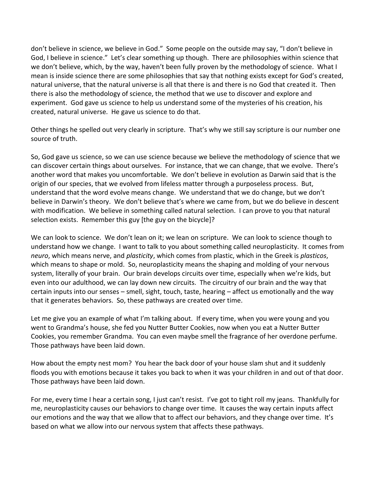don't believe in science, we believe in God." Some people on the outside may say, "I don't believe in God, I believe in science." Let's clear something up though. There are philosophies within science that we don't believe, which, by the way, haven't been fully proven by the methodology of science. What I mean is inside science there are some philosophies that say that nothing exists except for God's created, natural universe, that the natural universe is all that there is and there is no God that created it. Then there is also the methodology of science, the method that we use to discover and explore and experiment. God gave us science to help us understand some of the mysteries of his creation, his created, natural universe. He gave us science to do that.

Other things he spelled out very clearly in scripture. That's why we still say scripture is our number one source of truth.

So, God gave us science, so we can use science because we believe the methodology of science that we can discover certain things about ourselves. For instance, that we can change, that we evolve. There's another word that makes you uncomfortable. We don't believe in evolution as Darwin said that is the origin of our species, that we evolved from lifeless matter through a purposeless process. But, understand that the word evolve means change. We understand that we do change, but we don't believe in Darwin's theory. We don't believe that's where we came from, but we do believe in descent with modification. We believe in something called natural selection. I can prove to you that natural selection exists. Remember this guy [the guy on the bicycle]?

We can look to science. We don't lean on it; we lean on scripture. We can look to science though to understand how we change. I want to talk to you about something called neuroplasticity. It comes from *neuro*, which means nerve, and *plasticity*, which comes from plastic, which in the Greek is *plasticos*, which means to shape or mold. So, neuroplasticity means the shaping and molding of your nervous system, literally of your brain. Our brain develops circuits over time, especially when we're kids, but even into our adulthood, we can lay down new circuits. The circuitry of our brain and the way that certain inputs into our senses – smell, sight, touch, taste, hearing – affect us emotionally and the way that it generates behaviors. So, these pathways are created over time.

Let me give you an example of what I'm talking about. If every time, when you were young and you went to Grandma's house, she fed you Nutter Butter Cookies, now when you eat a Nutter Butter Cookies, you remember Grandma. You can even maybe smell the fragrance of her overdone perfume. Those pathways have been laid down.

How about the empty nest mom? You hear the back door of your house slam shut and it suddenly floods you with emotions because it takes you back to when it was your children in and out of that door. Those pathways have been laid down.

For me, every time I hear a certain song, I just can't resist. I've got to tight roll my jeans. Thankfully for me, neuroplasticity causes our behaviors to change over time. It causes the way certain inputs affect our emotions and the way that we allow that to affect our behaviors, and they change over time. It's based on what we allow into our nervous system that affects these pathways.